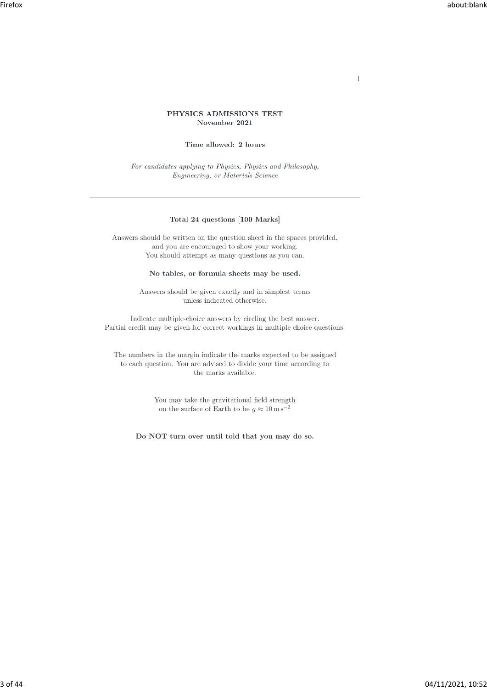$\overline{1}$ 

## PHYSICS ADMISSIONS TEST November 2021

Time allowed: 2 hours

For candidates applying to Physics, Physics and Philosophy, Engineering, or Materials Science

## Total 24 questions [100 Marks]

Answers should be written on the question sheet in the spaces provided, and you are encouraged to show your working. You should attempt as many questions as you can.

## No tables, or formula sheets may be used.

Answers should be given exactly and in simplest terms unless indicated otherwise.

Indicate multiple-choice answers by circling the best answer. Partial credit may be given for correct workings in multiple choice questions.

The numbers in the margin indicate the marks expected to be assigned to each question. You are advised to divide your time according to the marks available.

> You may take the gravitational field strength on the surface of Earth to be  $q \approx 10 \,\mathrm{m\,s^{-2}}$

Do NOT turn over until told that you may do so.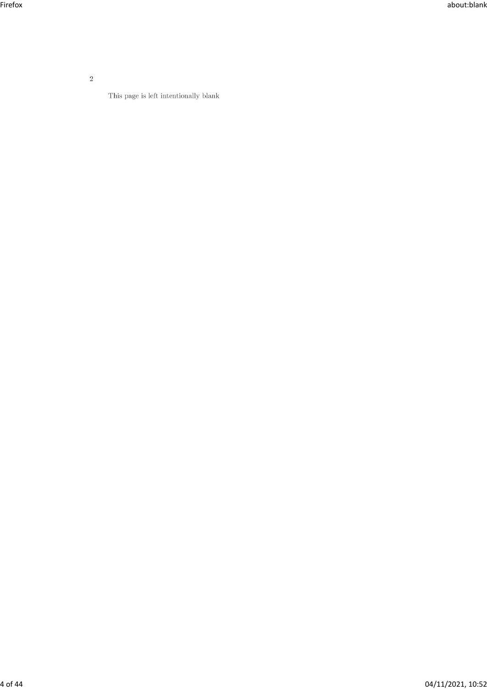$\overline{2}$ 

This page is left intentionally blank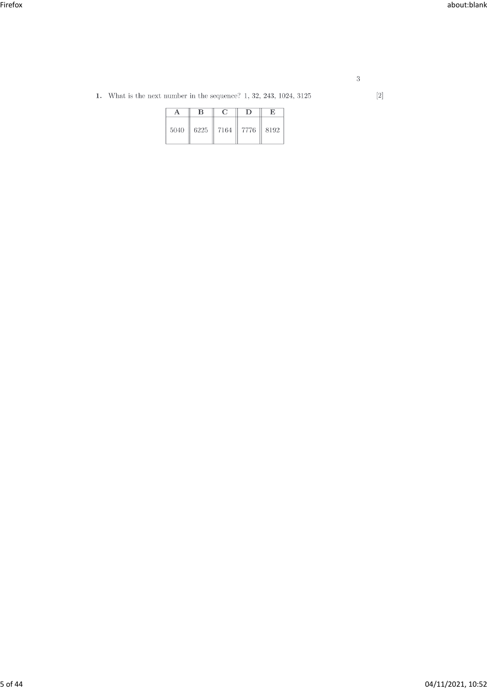$\sqrt{3}$ 

1. What is the next number in the sequence? 1, 32, 243, 1024, 3125

|        | B             | D    | F.   |
|--------|---------------|------|------|
| $5040$ | $6225$   7164 | 7776 | 8192 |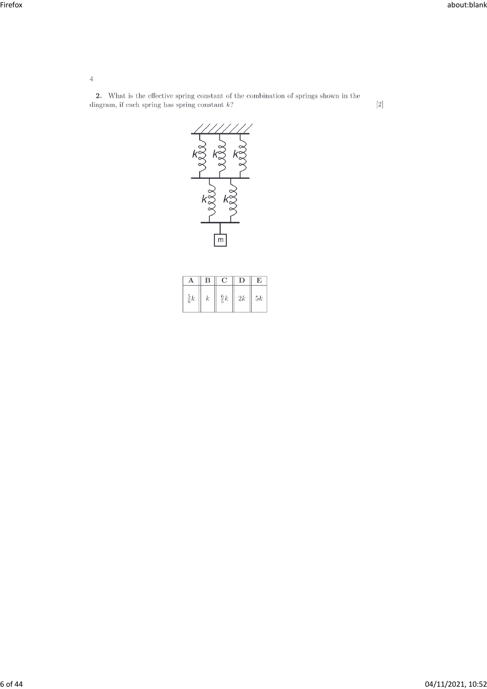$\overline{4}$ 

2. What is the effective spring constant of the combination of springs shown in the diagram, if each spring has spring constant  $k$ ?

 $[2]$ 



| Α              | B | С              | D  | Е  |
|----------------|---|----------------|----|----|
| $\frac{5}{6}k$ | k | $\frac{6}{5}k$ | 2k | 5k |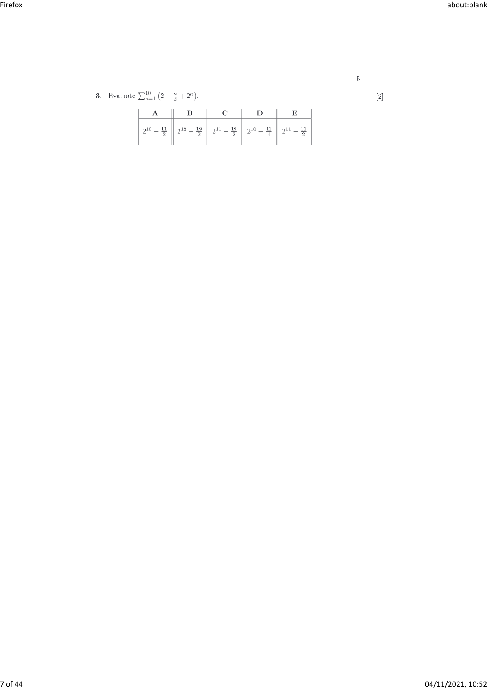**3.** Evaluate  $\sum_{n=1}^{10} (2 - \frac{n}{2} + 2^n)$ .

 $\bf 5$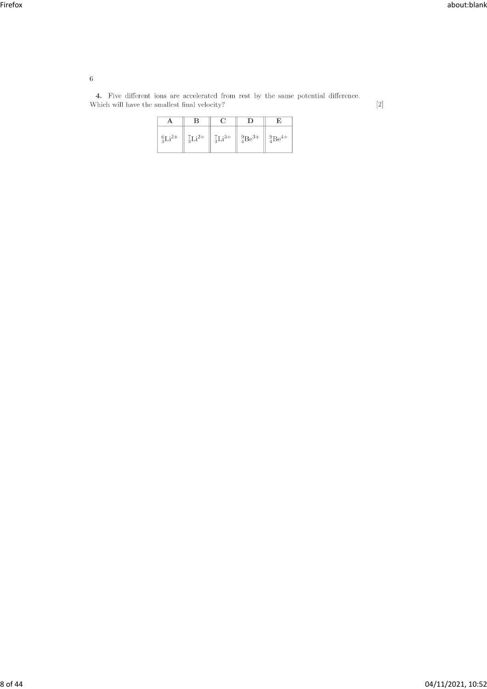Firefox about:blank

 $\,6\,$ 

4. Five different ions are accelerated from rest by the same potential difference. Which will have the smallest final velocity?

|  | $^{6}_{3}\text{Li}^{2+}$ $\parallel$ $^{7}_{3}\text{Li}^{2+}$ $\parallel$ $^{7}_{3}\text{Li}^{3+}$ $\parallel$ $^{9}_{4}\text{Be}^{3+}$ $\parallel$ $^{9}_{4}\text{Be}^{4+}$ |  |
|--|------------------------------------------------------------------------------------------------------------------------------------------------------------------------------|--|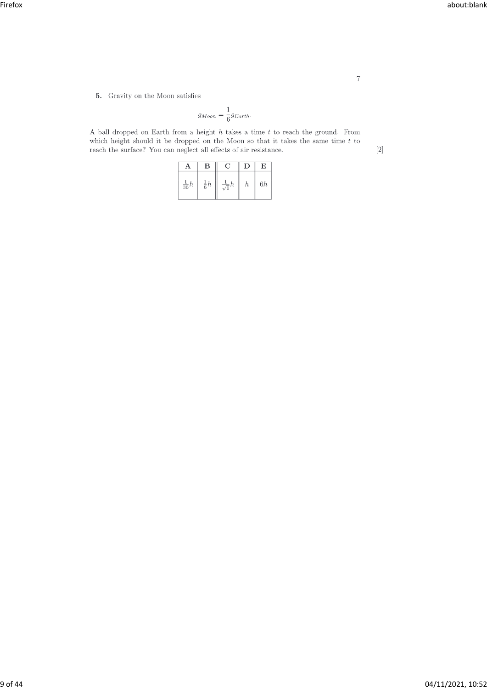$\overline{7}$ 

5. Gravity on the Moon satisfies

$$
g_{Moon} = \frac{1}{6} g_{Earth}.
$$

A ball dropped on Earth from a height  $h$  takes a time  $t$  to reach the ground. From which height should it be dropped on the Moon so that it takes the same time  $t$  to reach the surface? You can neglect all effects of air resistance.

|               | в            | С                     | D | E  |
|---------------|--------------|-----------------------|---|----|
| $rac{1}{36}h$ | $rac{1}{6}h$ | $\frac{1}{\sqrt{6}}h$ | h | 6h |

 $[2]$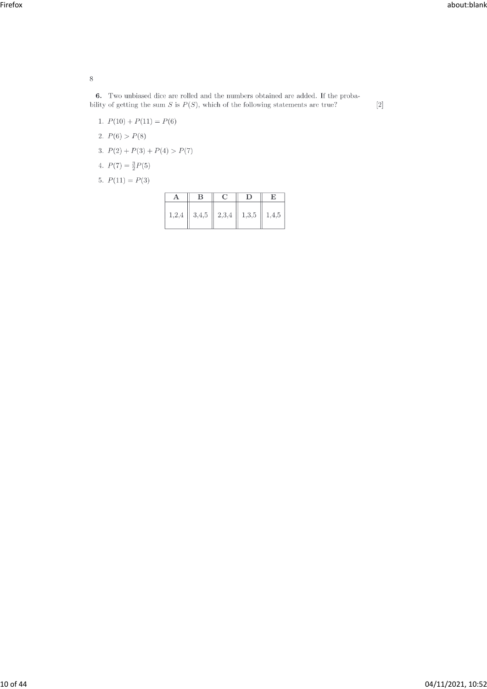$\,$   $\,$ 

6. Two unbiased dice are rolled and the numbers obtained are added. If the probability of getting the sum  $S$  is  $P(S)$ , which of the following statements are true?

 $[2]$ 

- 1.  $P(10) + P(11) = P(6)$
- 2.  $P(6) > P(8)$
- 3.  $P(2) + P(3) + P(4) > P(7)$
- 4.  $P(7) = \frac{3}{2}P(5)$
- 5.  $P(11) = P(3)$

| B                                         | $\mathbf C$ | $\mathbb{L}$ D | E |
|-------------------------------------------|-------------|----------------|---|
| 1,2,4    3,4,5    2,3,4    1,3,5    1,4,5 |             |                |   |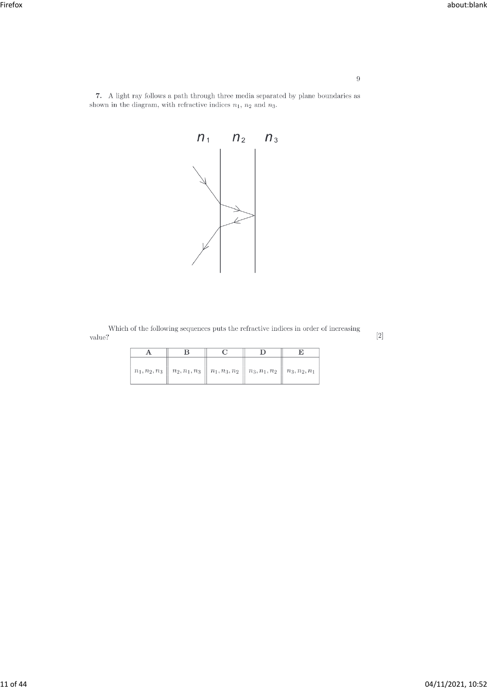$\overline{9}$ 

7. A light ray follows a path through three media separated by plane boundaries as shown in the diagram, with refractive indices  $n_1$ ,  $n_2$  and  $n_3$ .



Which of the following sequences puts the refractive indices in order of increasing value?

|  | $n_1, n_2, n_3 \parallel n_2, n_1, n_3 \parallel n_1, n_3, n_2 \parallel n_3, n_1, n_2 \parallel n_3, n_2, n_1$ |  |
|--|-----------------------------------------------------------------------------------------------------------------|--|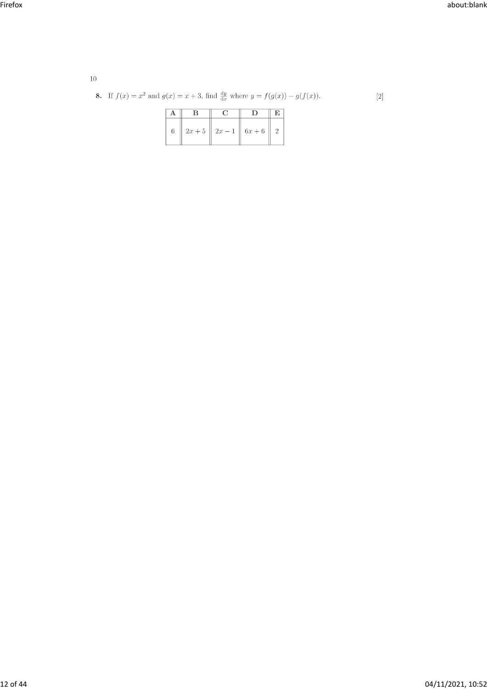$[2] % \begin{center} \includegraphics[width=\textwidth]{images/TrDiS-Architecture.png} \end{center} % \vspace*{-1em} \caption{The image shows the number of different types of the estimators in the image.} \vspace*{-1em} \label{fig:TrDiS-Architecture}$ 

 $10\,$ 

**8.** If 
$$
f(x) = x^2
$$
 and  $g(x) = x + 3$ , find  $\frac{dy}{dx}$  where  $y = f(g(x)) - g(f(x))$ .

|   |                 | D)     | F. |
|---|-----------------|--------|----|
| 6 | $2x+5$   $2x-1$ | $6x+6$ |    |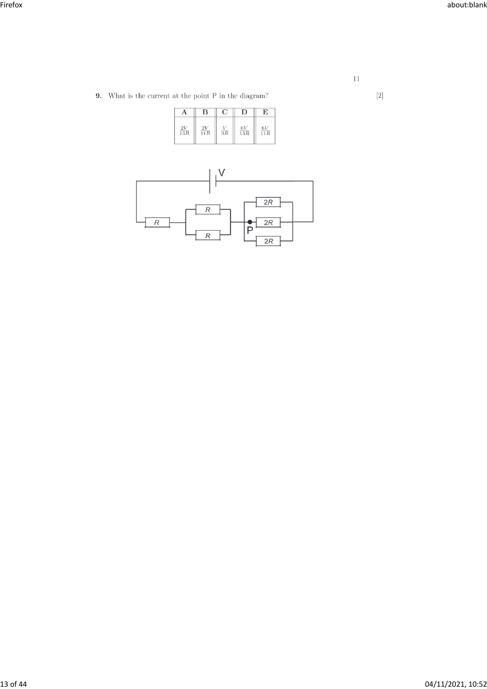$11\,$ 

 $[2] % \begin{center} \includegraphics[width=\textwidth]{images/TrDiS-Architecture.png} \end{center} % \vspace*{-1em} \caption{The image shows the number of different types of the estimators in the image.} \vspace*{-1em} \label{fig:TrDiS-Architecture}$ 

9. What is the current at the point P in the diagram?

|                  | в                      | Œ               |                  | E                |
|------------------|------------------------|-----------------|------------------|------------------|
| $\frac{2V}{13R}$ | 2V<br>$\overline{11R}$ | $\overline{9R}$ | $\frac{6V}{13R}$ | $\frac{6V}{11R}$ |

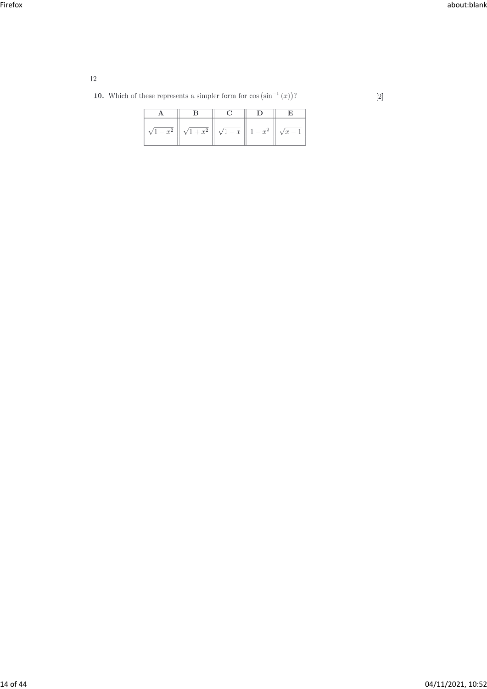10. Which of these represents a simpler form for  $\cos (\sin^{-1}(x))$ ?

|  | $\sqrt{1-x^2}$ $\left\  \sqrt{1+x^2} \sqrt{1-x} \right\  1-x^2 \sqrt{x-1}$ |  |  |
|--|----------------------------------------------------------------------------|--|--|

 $[2] % \begin{center} \includegraphics[width=0.3\textwidth]{images/TrDiM-Architecture.png} \end{center} % \vspace*{-1em} \caption{The image shows the number of parameters of the data and the number of data. The number of data is the number of data.} \label{fig:TrDiM-Architecture}$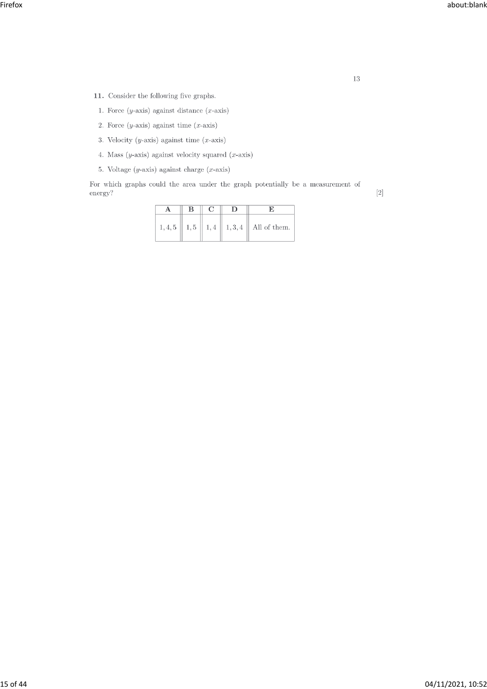$[2]$ 

- 11. Consider the following five graphs.
- 1. Force  $(y\text{-axis})$  against distance  $(x\text{-axis})$
- 2. Force  $(y\text{-axis})$  against time  $(x\text{-axis})$
- 3. Velocity (y-axis) against time  $(x\text{-axis})$
- 4. Mass  $(y\text{-axis})$  against velocity squared  $(x\text{-axis})$
- 5. Voltage ( $y$ -axis) against charge ( $x$ -axis)

For which graphs could the area under the graph potentially be a measurement of energy?

| в |  |                                                    |
|---|--|----------------------------------------------------|
|   |  | 1, 4, 5    1, 5    1, 4    1, 3, 4    All of them. |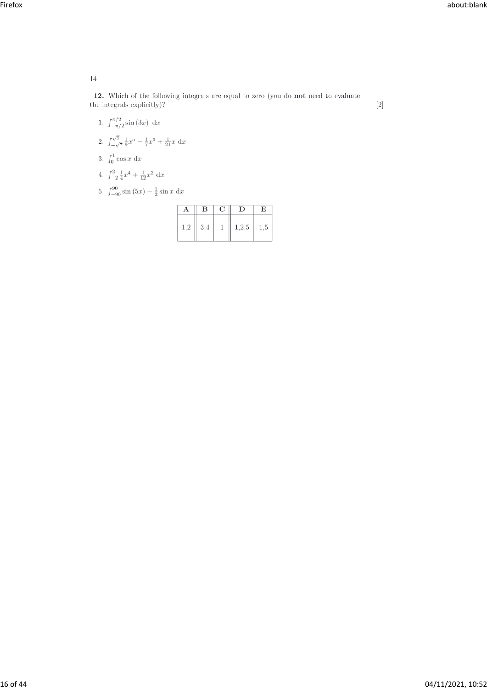$[2]$ 

14

12. Which of the following integrals are equal to zero (you do not need to evaluate the integrals explicitly)?

- 1.  $\int_{-\pi/2}^{\pi/2} \sin(3x) dx$
- 2.  $\int_{-\sqrt{7}}^{\sqrt{7}} \frac{1}{9} x^5 \frac{1}{7} x^3 + \frac{1}{21} x \, dx$
- 3.  $\int_0^1 \cos x \, dx$
- 4.  $\int_{-2}^{2} \frac{1}{4}x^4 + \frac{1}{12}x^2 dx$
- 5.  $\int_{-90}^{90} \sin(5x) \frac{1}{2} \sin x \, dx$

|     | $\bf{B}$ | $\mathbf C$ | D     | E   |
|-----|----------|-------------|-------|-----|
| 1,2 | 3,4      |             | 1,2,5 | 1,5 |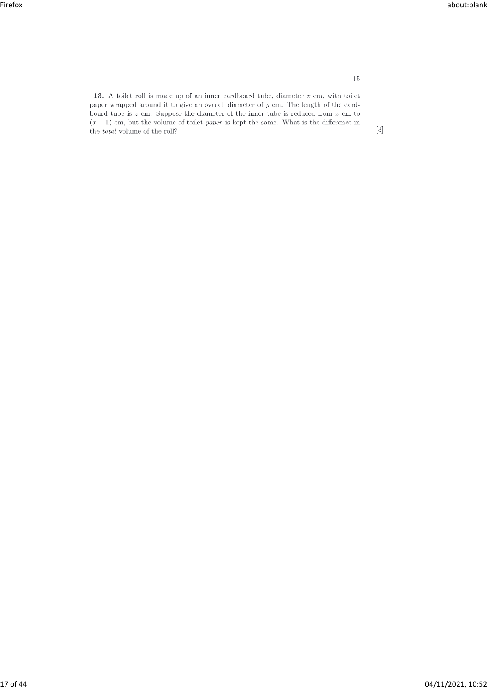13. A toilet roll is made up of an inner cardboard tube, diameter  $x$  cm, with toilet paper wrapped around it to give an overall diameter of  $y$  cm. The length of the cardboard tube is  $z$  cm. Suppose the diameter of the inner tube is reduced from  $x$  cm to  $(x-1)$  cm, but the volume of toilet *paper* is kept the same. What is the difference in the  $total$  volume of the roll?

15

 $[3] % \centering \includegraphics[width=0.9\columnwidth]{figures/fig_1a} \caption{The average number of times of the number of times. The number of times in the right, the number of times in the right, the number of times in the right, the number of times in the right, the number of times in the right, the number of times in the right, the number of times in the right, the number of times in the right, the number of times in the right, the number of times in the right, the number of times in the right, the number of times in the right, the number of times in the right, the number of times in the right, the number of times in the right, the number of times in the right, the number of times in the right, the number of times in the right, the number of times in the right, the number of times in the right, the number of times in the right, the number of times in the right, the number of$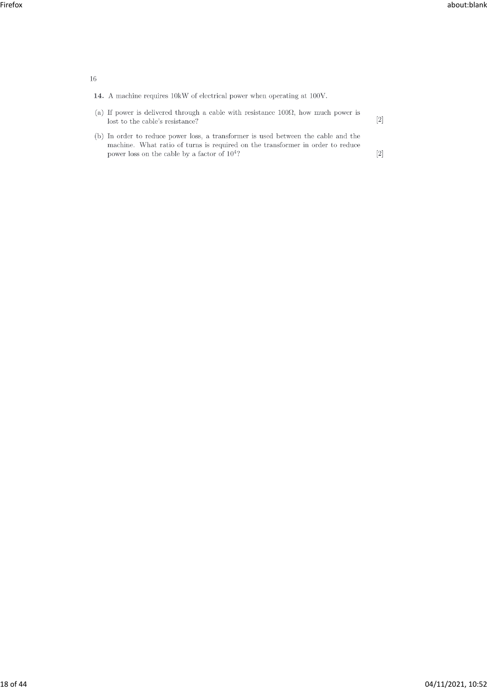|  |  |  |  | 14. A machine requires 10kW of electrical power when operating at 100V. |  |
|--|--|--|--|-------------------------------------------------------------------------|--|
|  |  |  |  |                                                                         |  |

- (a) If power is delivered through a cable with resistance 100 $\Omega$ , how much power is lost to the cable's resistance?
- (b) In order to reduce power loss, a transformer is used between the cable and the machine. What ratio of turns is required on the transformer in order to reduce power loss on the cable by a factor of  $10^4$ ?

 $[2]$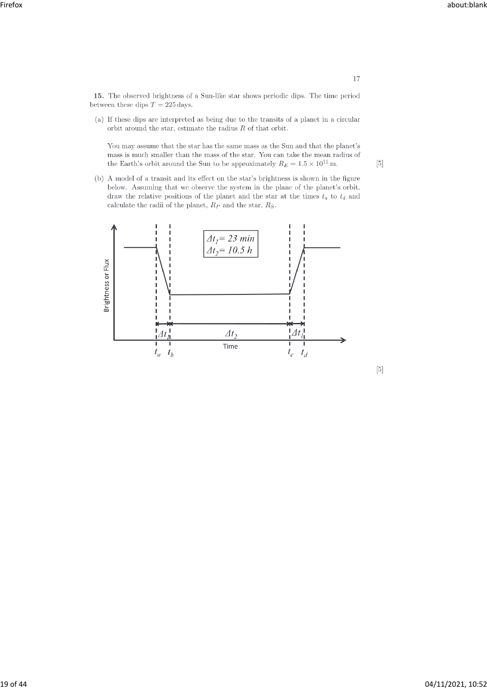15. The observed brightness of a Sun-like star shows periodic dips. The time period between these dips  $T = 225$  days.

(a) If these dips are interpreted as being due to the transits of a planet in a circular orbit around the star, estimate the radius  $R$  of that orbit.

You may assume that the star has the same mass as the Sun and that the planet's mass is much smaller than the mass of the star. You can take the mean radius of the Earth's orbit around the Sun to be approximately  $R_E=1.5\times 10^{11}\,\mathrm{m}.$ 

(b) A model of a transit and its effect on the star's brightness is shown in the figure below. Assuming that we observe the system in the plane of the planet's orbit, draw the relative positions of the planet and the star at the times  $t_a$  to  $t_d$  and calculate the radii of the planet,  $R_P$  and the star,  $R_S$ .



 $[5]$ 

 $[5] \centering% \includegraphics[width=1.0\textwidth]{figs/fig_4a1.pdf} \includegraphics[width=1.0\textwidth]{figs/fig_4b1.pdf} \includegraphics[width=1.0\textwidth]{figs/fig_4b1.pdf} \includegraphics[width=1.0\textwidth]{figs/fig_4b1.pdf} \includegraphics[width=1.0\textwidth]{figs/fig_4b1.pdf} \includegraphics[width=1.0\textwidth]{figs/fig_4b1.pdf} \includegraphics[width=1.0\textwidth]{figs/fig_4b1.pdf} \includegraphics[width=1.0\textwidth]{figs/fig_4b1.pdf} \includegraphics[width=1.0\textwidth]{figs/fig_4b1.pdf} \includegraphics[width=$ 

17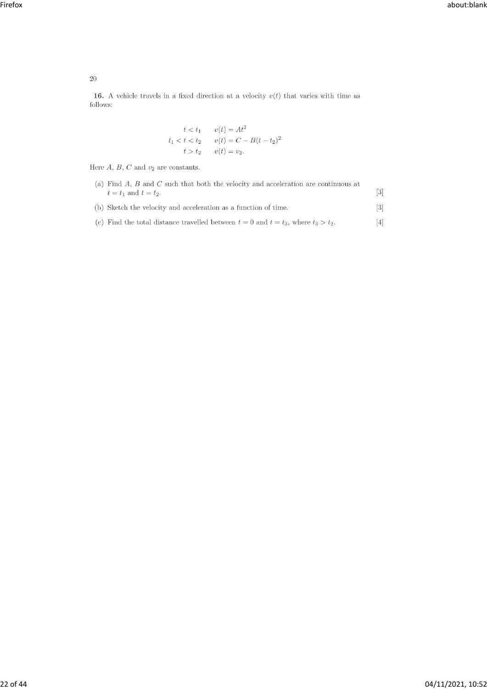16. A vehicle travels in a fixed direction at a velocity  $v(t)$  that varies with time as follows:

$$
t < t_1 \qquad v(t) = At^2
$$
  
\n
$$
t_1 < t < t_2 \qquad v(t) = C - B(t - t_2)^2
$$
  
\n
$$
t > t_2 \qquad v(t) = v_2.
$$

Here  $A, B, C$  and  $v_2$  are constants.

| (a) Find A, B and C such that both the velocity and acceleration are continuous at<br>$t = t_1$ and $t = t_2$ . | $\lvert 3 \rvert$ |
|-----------------------------------------------------------------------------------------------------------------|-------------------|
| (b) Sketch the velocity and acceleration as a function of time.                                                 | 3                 |
| (c) Find the total distance travelled between $t = 0$ and $t = t_3$ , where $t_3 > t_2$ .                       | $\left[4\right]$  |

22 of 44 04/11/2021, 10:52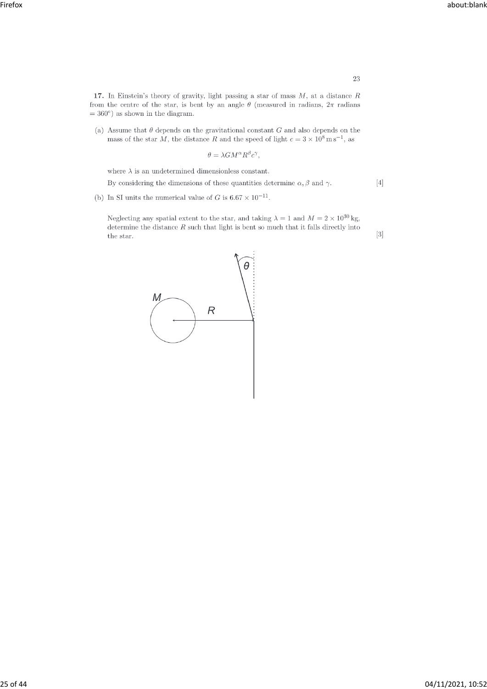17. In Einstein's theory of gravity, light passing a star of mass  $M$ , at a distance  $R$ from the centre of the star, is bent by an angle  $\theta$  (measured in radians,  $2\pi$  radians  $= 360^{\circ}$  as shown in the diagram.

(a) Assume that  $\theta$  depends on the gravitational constant  $G$  and also depends on the mass of the star M, the distance R and the speed of light  $c = 3 \times 10^8 \,\mathrm{m\,s^{-1}}$ , as

$$
\theta = \lambda GM^{\alpha} R^{\beta} c^{\gamma},
$$

where  $\lambda$  is an undetermined dimensionless constant.

By considering the dimensions of these quantities determine  $\alpha, \beta$  and  $\gamma$ .

(b) In SI units the numerical value of G is  $6.67 \times 10^{-11}$ .

Neglecting any spatial extent to the star, and taking  $\lambda = 1$  and  $M = 2 \times 10^{30}$  kg, determine the distance  $R$  such that light is bent so much that it falls directly into the star.



 $[3] % \includegraphics[width=0.9\columnwidth]{figures/fig_4} \caption{Schematic diagram of the top of the top of the top of the top of the top of the top of the right.} \label{fig:fig_4}%$ 

 $[4]$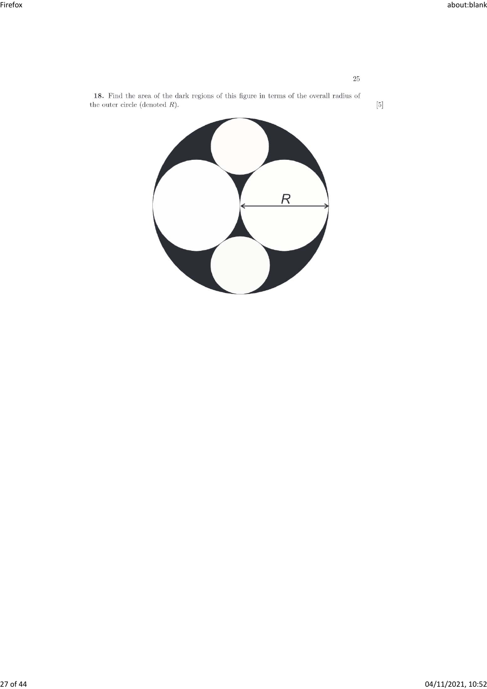

18. Find the area of the dark regions of this figure in terms of the overall radius of the outer circle (denoted  $R$ ).

 $25\,$ 

 $[5] % \begin{center} \includegraphics[width=\linewidth]{imagesSupplemental_3.png} \end{center} % \vspace*{-1em} \caption{The image shows the number of nodes of the two times, and the number of nodes of the two times.} \label{fig:example} %$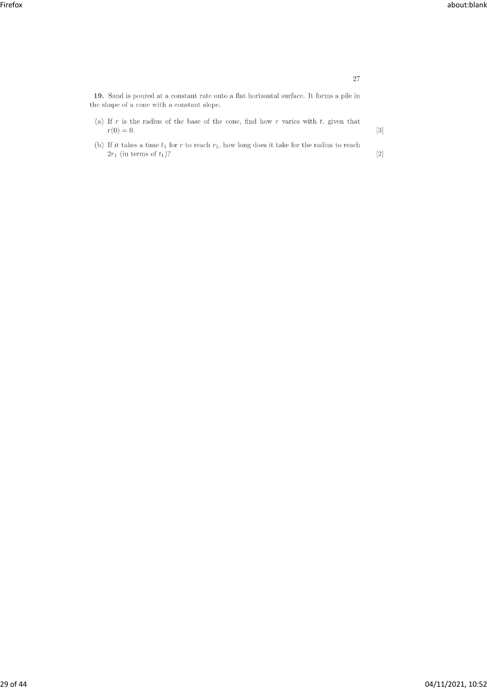27 19. Sand is poured at a constant rate onto a flat horizontal surface. It forms a pile in the shape of a cone with a constant slope. (a) If  $r$  is the radius of the base of the cone, find how  $r$  varies with  $t$ , given that  $r(0) = 0.$  $[3]$ (b) If it takes a time  $t_1$  for  $r$  to reach  $r_1,$  how long does it take for the radius to reach  $2r_1$  (in terms of  $t_1$ )?  $[2] % \begin{center} \includegraphics[width=\textwidth]{images/TrDiM-Architecture.png} \end{center} % \vspace*{-1em} \caption{The image shows the number of parameters of the data and the number of data. The number of data is the number of data.} \label{fig:TrDiM-Architecture}$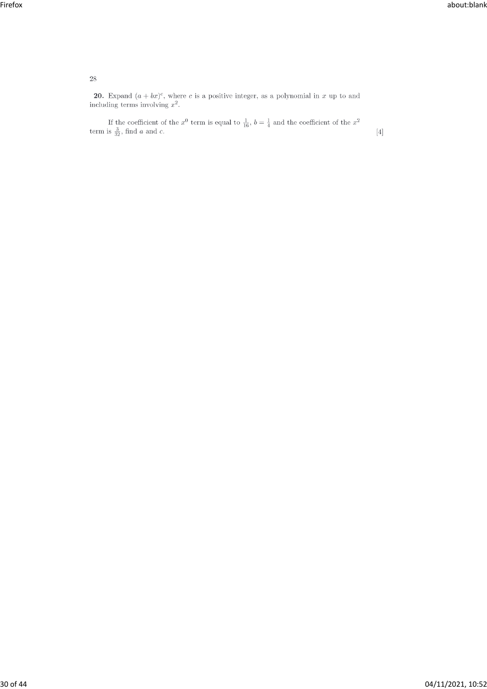$[4] \centering% \includegraphics[width=1\textwidth]{images/TransY.pdf} \caption{The first two different values of $y$ and $y$ (left) and $y$ (right) are the same as a function of $y$. The first two different values of $y$. The first two different values of $y$. The first two different values of $y$. The first two different values of $y$. The first two different values of $y$. The first two different values of $y$. The first two different values of $y$. The first two different values of $y$. The first two different values of $y$. The first two different values of $y$. The first two different values of $y$. The first two different values of $y$. The first two different values of $y$. The first two different values of $y$. The first two different values of $y$. The first two different values of $y$. The first two different values of $y$. The first two different values of $$ 

 $\sqrt{28}$ 

**20.** Expand  $(a + bx)^c$ , where c is a positive integer, as a polynomial in x up to and including terms involving  $x^2$ .

If the coefficient of the  $x^0$  term is equal to  $\frac{1}{16},$   $b=\frac{1}{4}$  and the coefficient of the  $x^2$  term is  $\frac{3}{32},$  find  $a$  and  $c.$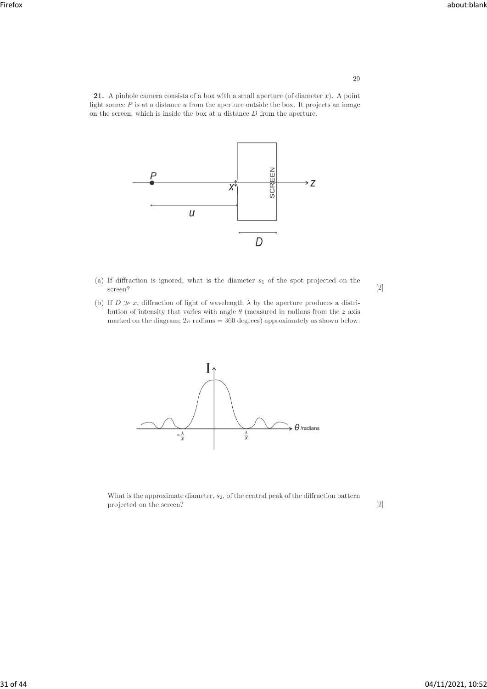21. A pinhole camera consists of a box with a small aperture (of diameter  $x$ ). A point light source  $P$  is at a distance  $u$  from the aperture outside the box. It projects an image on the screen, which is inside the box at a distance  $D$  from the aperture.



- (a) If diffraction is ignored, what is the diameter  $s_1$  of the spot projected on the screen?
- (b) If  $D \gg x$ , diffraction of light of wavelength  $\lambda$  by the aperture produces a distribution of intensity that varies with angle  $\theta$  (measured in radians from the z axis marked on the diagram;  $2\pi$  radians = 360 degrees) approximately as shown below:



What is the approximate diameter,  $s_2$ , of the central peak of the diffraction pattern projected on the screen?

 $[2]$ 

 $[2]$ 

29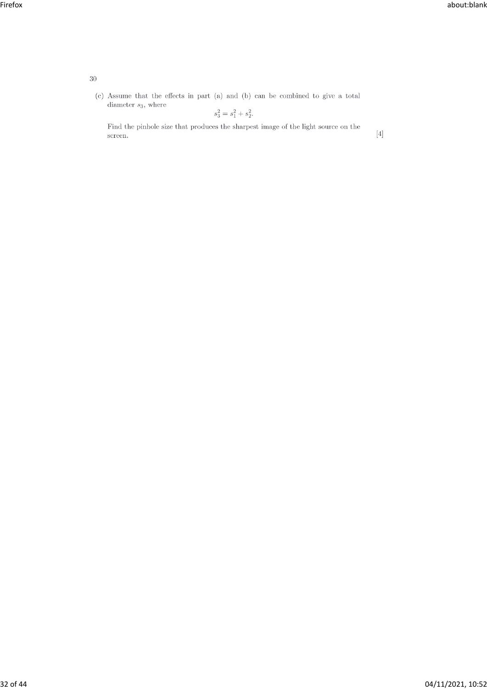$[4] \centering% \includegraphics[width=1\textwidth]{images/TransY.pdf} \caption{The first two different values of $y$ and $y$ (left) and $y$ (right) are the same as a function of $y$. The first two different values of $y$. The first two different values of $y$. The first two different values of $y$. The first two different values of $y$. The first two different values of $y$. The first two different values of $y$. The first two different values of $y$. The first two different values of $y$. The first two different values of $y$. The first two different values of $y$. The first two different values of $y$. The first two different values of $y$. The first two different values of $y$. The first two different values of $y$. The first two different values of $y$. The first two different values of $y$. The first two different values of $y$. The first two different values of $$ 

30

(c) Assume that the effects in part (a) and (b) can be combined to give a total diameter  $s_3$ , where

$$
s_3^2 = s_1^2 + s_2^2.
$$

Find the pinhole size that produces the sharpest image of the light source on the screen.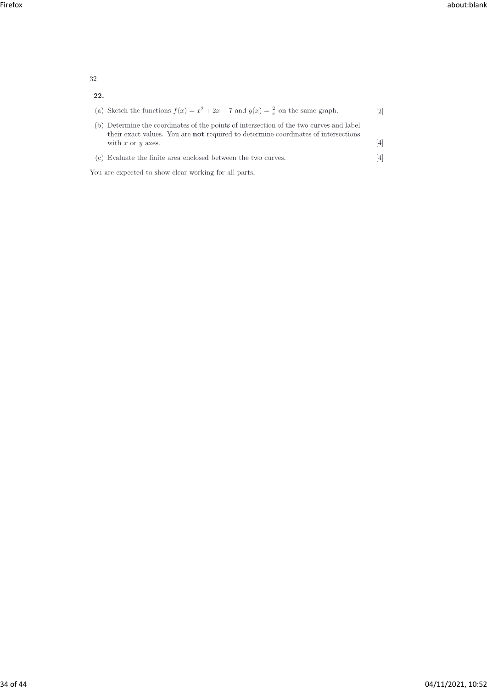| 22. |                                                                                                                                                                                                           |                              |
|-----|-----------------------------------------------------------------------------------------------------------------------------------------------------------------------------------------------------------|------------------------------|
|     | (a) Sketch the functions $f(x) = x^2 + 2x - 7$ and $g(x) = \frac{2}{x}$ on the same graph.                                                                                                                | $\left\lceil 2 \right\rceil$ |
| b)  | Determine the coordinates of the points of intersection of the two curves and label<br>their exact values. You are <b>not</b> required to determine coordinates of intersections<br>with $x$ or $y$ axes. | [4]                          |
|     | (c) Evaluate the finite area enclosed between the two curves.                                                                                                                                             | $[4]$                        |
|     | You are expected to show clear working for all parts.                                                                                                                                                     |                              |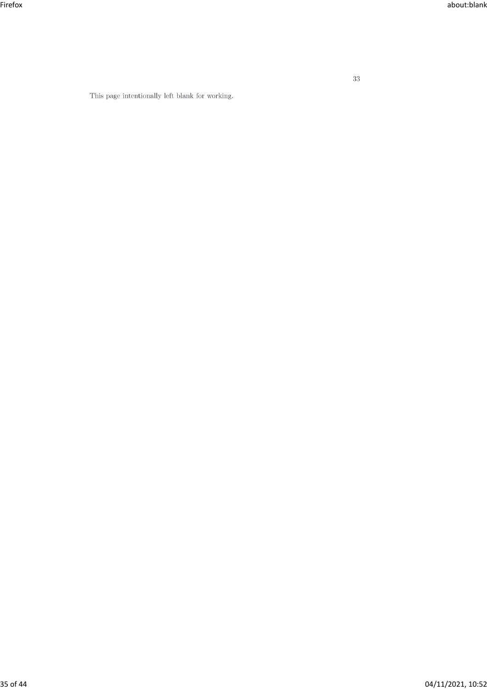This page intentionally left blank for working.

 $3\bar{3}$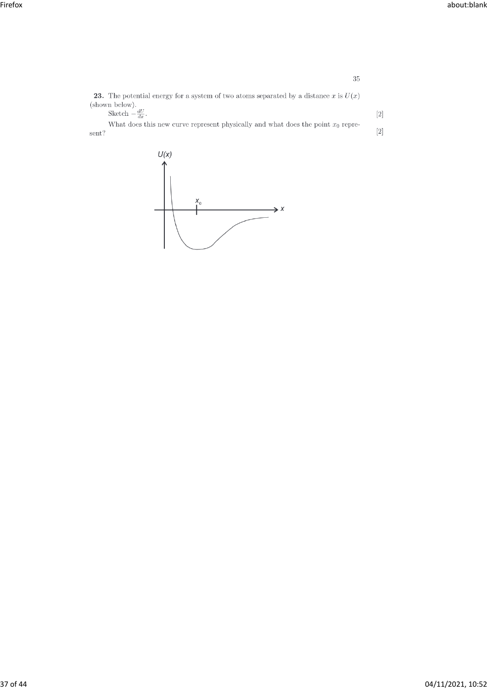$35\,$ **23.** The potential energy for a system of two atoms separated by a distance x is  $U(x)$ **23.** The potential energy for a system of two atoms separated by a distance x is  $U(x)$  (shown below).<br>Sketch  $-\frac{dU}{dx}$ .<br>What does this new curve represent physically and what does the point  $x_0$  represent?  $[2] % \begin{center} \includegraphics[width=0.3\textwidth]{images/TrDiM-Architecture.png} \end{center} % \vspace*{-1em} \caption{The image shows the number of parameters of the data and the number of data. The number of data is the number of data.} \label{fig:TrDiM-Architecture}$  $[2] % \begin{center} \includegraphics[width=\linewidth]{imagesSupplemental/Imers.png} \end{center} % \vspace*{-1em} \caption{The image shows the number of parameters of the parameter $\{1,2,3,4,\ldots\}$, and the number of parameters of the parameter $\{1,2,3,\ldots\}$, respectively.} \label{fig:3}$ sent?



37 of 44 04/11/2021, 10:52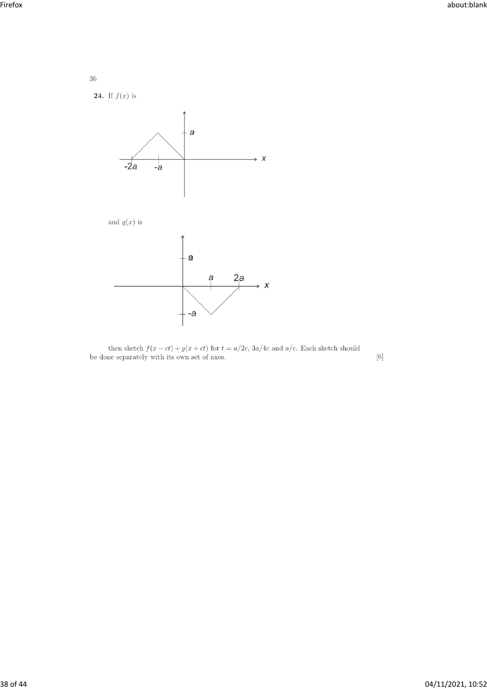

then sketch  $f(x - ct) + g(x + ct)$  for  $t = a/2c$ ,  $3a/4c$  and  $a/c$ . Each sketch should be done separately with its own set of axes.

 $[6] \centering% \includegraphics[width=1.0\textwidth]{figs/fig_0a.pdf} \includegraphics[width=1.0\textwidth]{figs/fig_0b.pdf} \includegraphics[width=1.0\textwidth]{figs/fig_0b.pdf} \includegraphics[width=1.0\textwidth]{figs/fig_0b.pdf} \includegraphics[width=1.0\textwidth]{figs/fig_0b.pdf} \includegraphics[width=1.0\textwidth]{figs/fig_0b.pdf} \includegraphics[width=1.0\textwidth]{figs/fig_0b.pdf} \includegraphics[width=1.0\textwidth]{figs/fig_0b.pdf} \includegraphics[width=1.0\textwidth]{figs/fig_0b.pdf} \includegraphics[width=1.0\textwidth]{figs$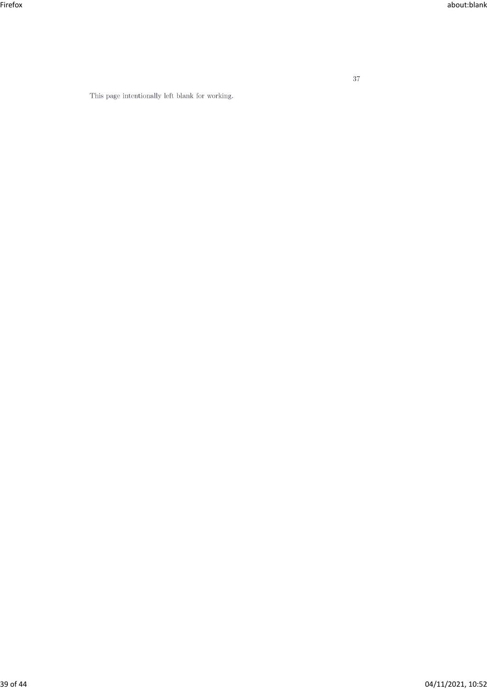This page intentionally left blank for working.

37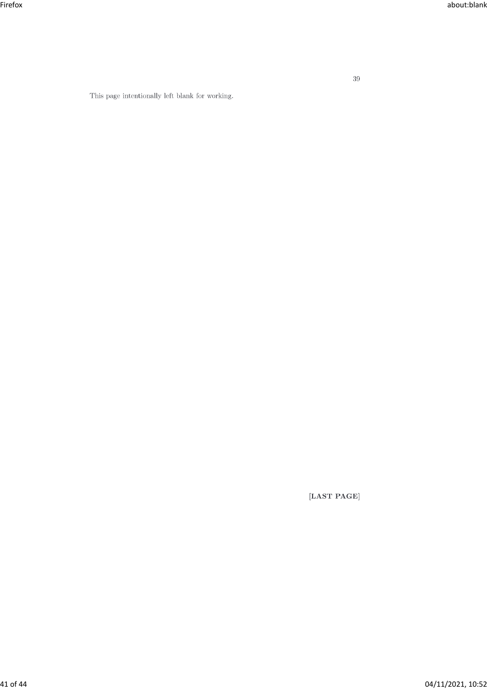This page intentionally left blank for working.

39

[LAST PAGE]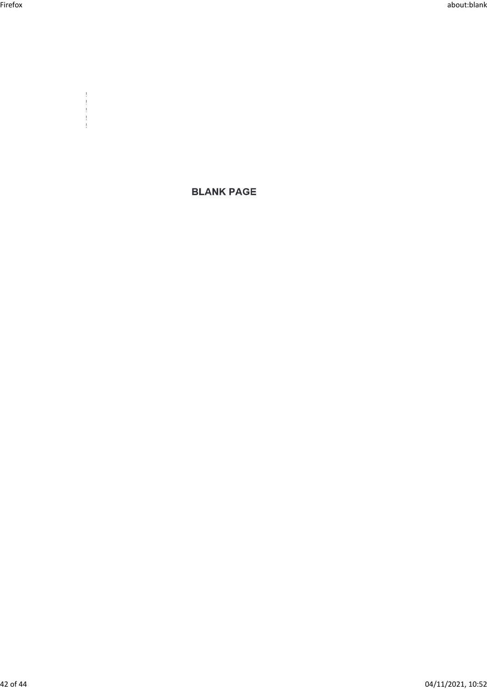$\begin{array}{c} 1 \\ 1 \\ 1 \\ 1 \\ 1 \end{array}$ 

 $\overline{\phantom{a}}$ 

**BLANK PAGE**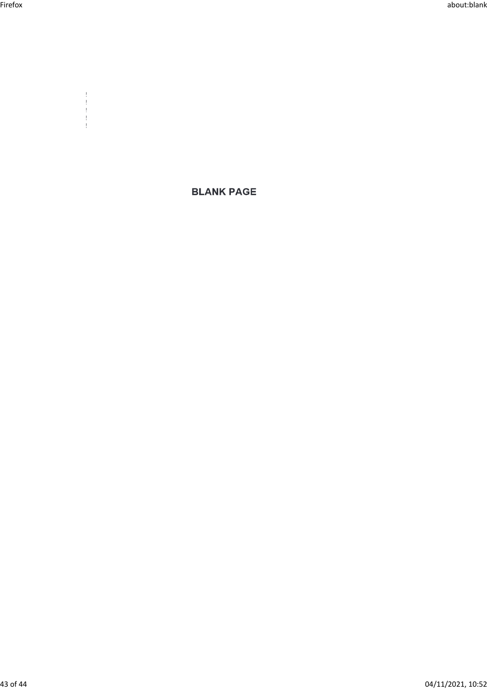$\begin{array}{c} 1 \\ 1 \\ 1 \\ 1 \\ 1 \end{array}$ 

 $\overline{\phantom{a}}$ 

**BLANK PAGE**